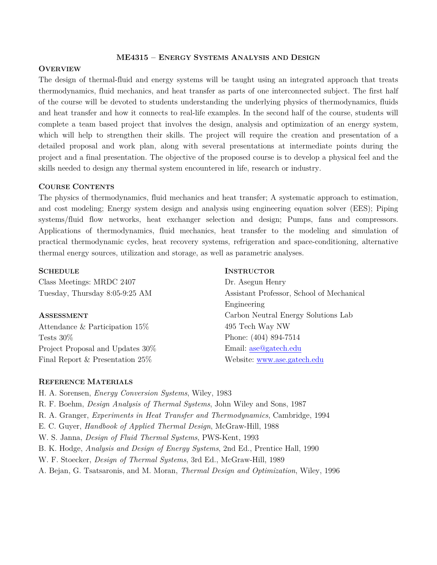### **ME4315 – ENERGY SYSTEMS ANALYSIS AND DESIGN**

# **OVERVIEW**

The design of thermal-fluid and energy systems will be taught using an integrated approach that treats thermodynamics, fluid mechanics, and heat transfer as parts of one interconnected subject. The first half of the course will be devoted to students understanding the underlying physics of thermodynamics, fluids and heat transfer and how it connects to real-life examples. In the second half of the course, students will complete a team based project that involves the design, analysis and optimization of an energy system, which will help to strengthen their skills. The project will require the creation and presentation of a detailed proposal and work plan, along with several presentations at intermediate points during the project and a final presentation. The objective of the proposed course is to develop a physical feel and the skills needed to design any thermal system encountered in life, research or industry.

# **COURSE CONTENTS**

The physics of thermodynamics, fluid mechanics and heat transfer; A systematic approach to estimation, and cost modeling; Energy system design and analysis using engineering equation solver (EES); Piping systems/fluid flow networks, heat exchanger selection and design; Pumps, fans and compressors. Applications of thermodynamics, fluid mechanics, heat transfer to the modeling and simulation of practical thermodynamic cycles, heat recovery systems, refrigeration and space-conditioning, alternative thermal energy sources, utilization and storage, as well as parametric analyses.

### **SCHEDULE**

Class Meetings: MRDC 2407 Tuesday, Thursday 8:05-9:25 AM

### **ASSESSMENT**

Attendance & Participation 15% Tests 30% Project Proposal and Updates 30% Final Report & Presentation 25%

**INSTRUCTOR**

Dr. Asegun Henry Assistant Professor, School of Mechanical Engineering Carbon Neutral Energy Solutions Lab 495 Tech Way NW Phone: (404) 894-7514 Email: [ase@gatech.edu](mailto:ase@gatech.edu) Website: [www.ase.gatech.edu](http://www.ase.gatech.edu/)

### **REFERENCE MATERIALS**

H. A. Sorensen, *Energy Conversion Systems*, Wiley, 1983

- R. F. Boehm, *Design Analysis of Thermal Systems*, John Wiley and Sons, 1987
- R. A. Granger, *Experiments in Heat Transfer and Thermodynamics*, Cambridge, 1994
- E. C. Guyer, *Handbook of Applied Thermal Design*, McGraw-Hill, 1988
- W. S. Janna, *Design of Fluid Thermal Systems*, PWS-Kent, 1993
- B. K. Hodge, *Analysis and Design of Energy Systems*, 2nd Ed., Prentice Hall, 1990
- W. F. Stoecker, *Design of Thermal Systems*, 3rd Ed., McGraw-Hill, 1989
- A. Bejan, G. Tsatsaronis, and M. Moran, *Thermal Design and Optimization*, Wiley, 1996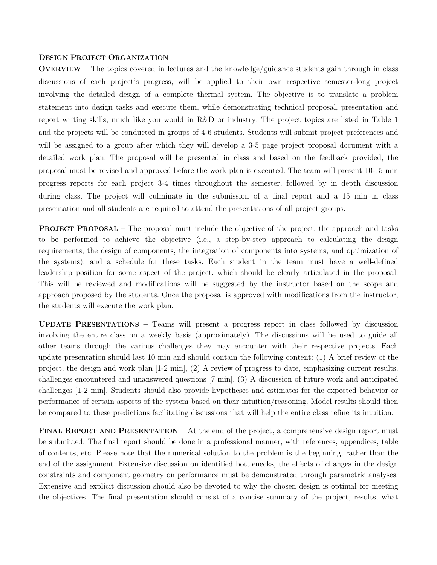# **DESIGN PROJECT ORGANIZATION**

**OVERVIEW –** The topics covered in lectures and the knowledge/guidance students gain through in class discussions of each project's progress, will be applied to their own respective semester-long project involving the detailed design of a complete thermal system. The objective is to translate a problem statement into design tasks and execute them, while demonstrating technical proposal, presentation and report writing skills, much like you would in R&D or industry. The project topics are listed in Table 1 and the projects will be conducted in groups of 4-6 students. Students will submit project preferences and will be assigned to a group after which they will develop a 3-5 page project proposal document with a detailed work plan. The proposal will be presented in class and based on the feedback provided, the proposal must be revised and approved before the work plan is executed. The team will present 10-15 min progress reports for each project 3-4 times throughout the semester, followed by in depth discussion during class. The project will culminate in the submission of a final report and a 15 min in class presentation and all students are required to attend the presentations of all project groups.

**PROJECT PROPOSAL** – The proposal must include the objective of the project, the approach and tasks to be performed to achieve the objective (i.e., a step-by-step approach to calculating the design requirements, the design of components, the integration of components into systems, and optimization of the systems), and a schedule for these tasks. Each student in the team must have a well-defined leadership position for some aspect of the project, which should be clearly articulated in the proposal. This will be reviewed and modifications will be suggested by the instructor based on the scope and approach proposed by the students. Once the proposal is approved with modifications from the instructor, the students will execute the work plan.

**UPDATE PRESENTATIONS –** Teams will present a progress report in class followed by discussion involving the entire class on a weekly basis (approximately). The discussions will be used to guide all other teams through the various challenges they may encounter with their respective projects. Each update presentation should last 10 min and should contain the following content: (1) A brief review of the project, the design and work plan [1-2 min], (2) A review of progress to date, emphasizing current results, challenges encountered and unanswered questions [7 min], (3) A discussion of future work and anticipated challenges [1-2 min]. Students should also provide hypotheses and estimates for the expected behavior or performance of certain aspects of the system based on their intuition/reasoning. Model results should then be compared to these predictions facilitating discussions that will help the entire class refine its intuition.

**FINAL REPORT AND PRESENTATION –** At the end of the project, a comprehensive design report must be submitted. The final report should be done in a professional manner, with references, appendices, table of contents, etc. Please note that the numerical solution to the problem is the beginning, rather than the end of the assignment. Extensive discussion on identified bottlenecks, the effects of changes in the design constraints and component geometry on performance must be demonstrated through parametric analyses. Extensive and explicit discussion should also be devoted to why the chosen design is optimal for meeting the objectives. The final presentation should consist of a concise summary of the project, results, what